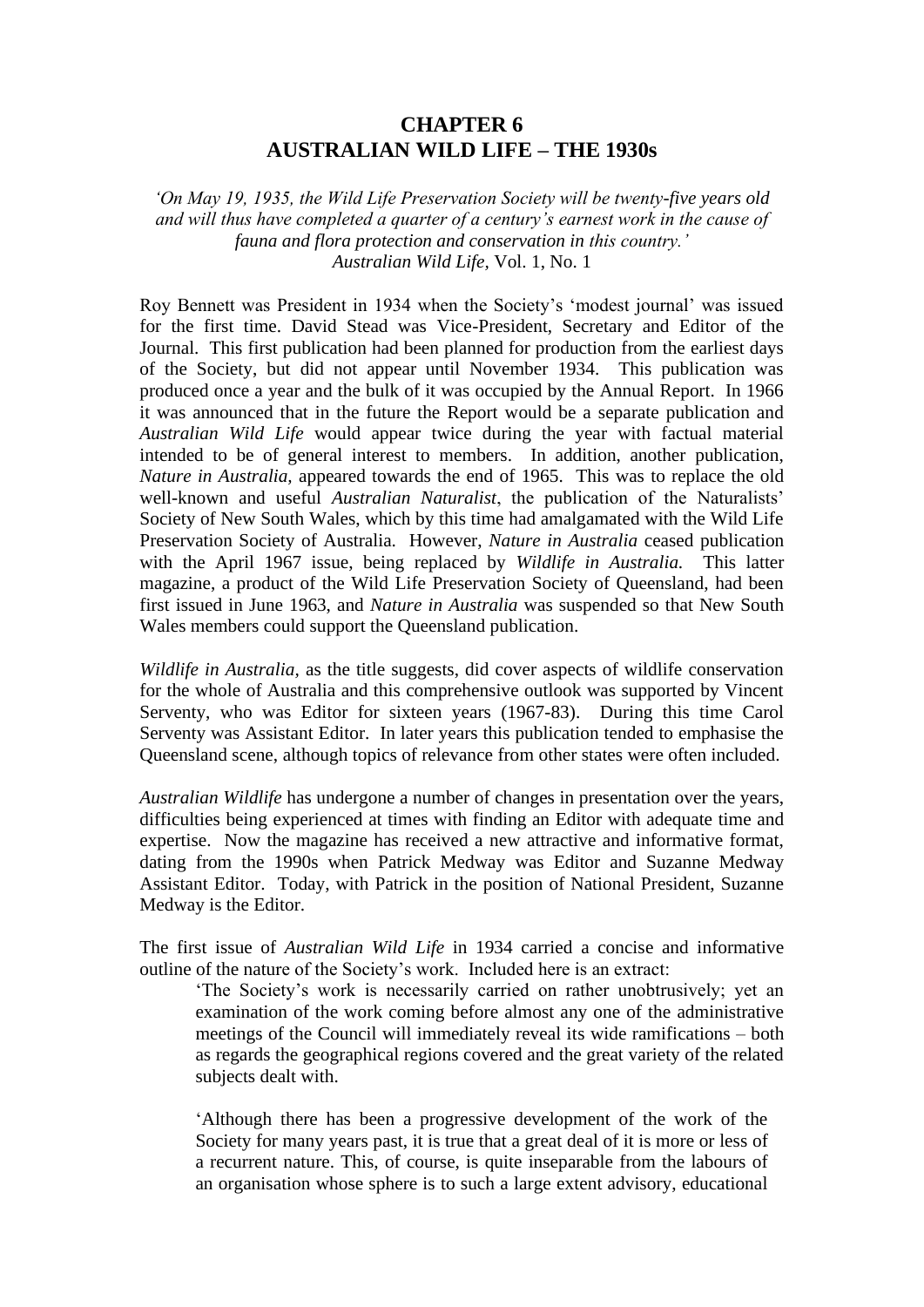# **CHAPTER 6 AUSTRALIAN WILD LIFE – THE 1930s**

*'On May 19, 1935, the Wild Life Preservation Society will be twenty-five years old and will thus have completed a quarter of a century's earnest work in the cause of fauna and flora protection and conservation in this country.' Australian Wild Life,* Vol. 1, No. 1

Roy Bennett was President in 1934 when the Society's 'modest journal' was issued for the first time. David Stead was Vice-President, Secretary and Editor of the Journal. This first publication had been planned for production from the earliest days of the Society, but did not appear until November 1934. This publication was produced once a year and the bulk of it was occupied by the Annual Report. In 1966 it was announced that in the future the Report would be a separate publication and *Australian Wild Life* would appear twice during the year with factual material intended to be of general interest to members. In addition, another publication, *Nature in Australia,* appeared towards the end of 1965. This was to replace the old well-known and useful *Australian Naturalist*, the publication of the Naturalists' Society of New South Wales, which by this time had amalgamated with the Wild Life Preservation Society of Australia. However, *Nature in Australia* ceased publication with the April 1967 issue, being replaced by *Wildlife in Australia.* This latter magazine, a product of the Wild Life Preservation Society of Queensland, had been first issued in June 1963, and *Nature in Australia* was suspended so that New South Wales members could support the Queensland publication.

*Wildlife in Australia,* as the title suggests, did cover aspects of wildlife conservation for the whole of Australia and this comprehensive outlook was supported by Vincent Serventy, who was Editor for sixteen years (1967-83). During this time Carol Serventy was Assistant Editor. In later years this publication tended to emphasise the Queensland scene, although topics of relevance from other states were often included.

*Australian Wildlife* has undergone a number of changes in presentation over the years, difficulties being experienced at times with finding an Editor with adequate time and expertise. Now the magazine has received a new attractive and informative format, dating from the 1990s when Patrick Medway was Editor and Suzanne Medway Assistant Editor. Today, with Patrick in the position of National President, Suzanne Medway is the Editor.

The first issue of *Australian Wild Life* in 1934 carried a concise and informative outline of the nature of the Society's work. Included here is an extract:

'The Society's work is necessarily carried on rather unobtrusively; yet an examination of the work coming before almost any one of the administrative meetings of the Council will immediately reveal its wide ramifications – both as regards the geographical regions covered and the great variety of the related subjects dealt with.

'Although there has been a progressive development of the work of the Society for many years past, it is true that a great deal of it is more or less of a recurrent nature. This, of course, is quite inseparable from the labours of an organisation whose sphere is to such a large extent advisory, educational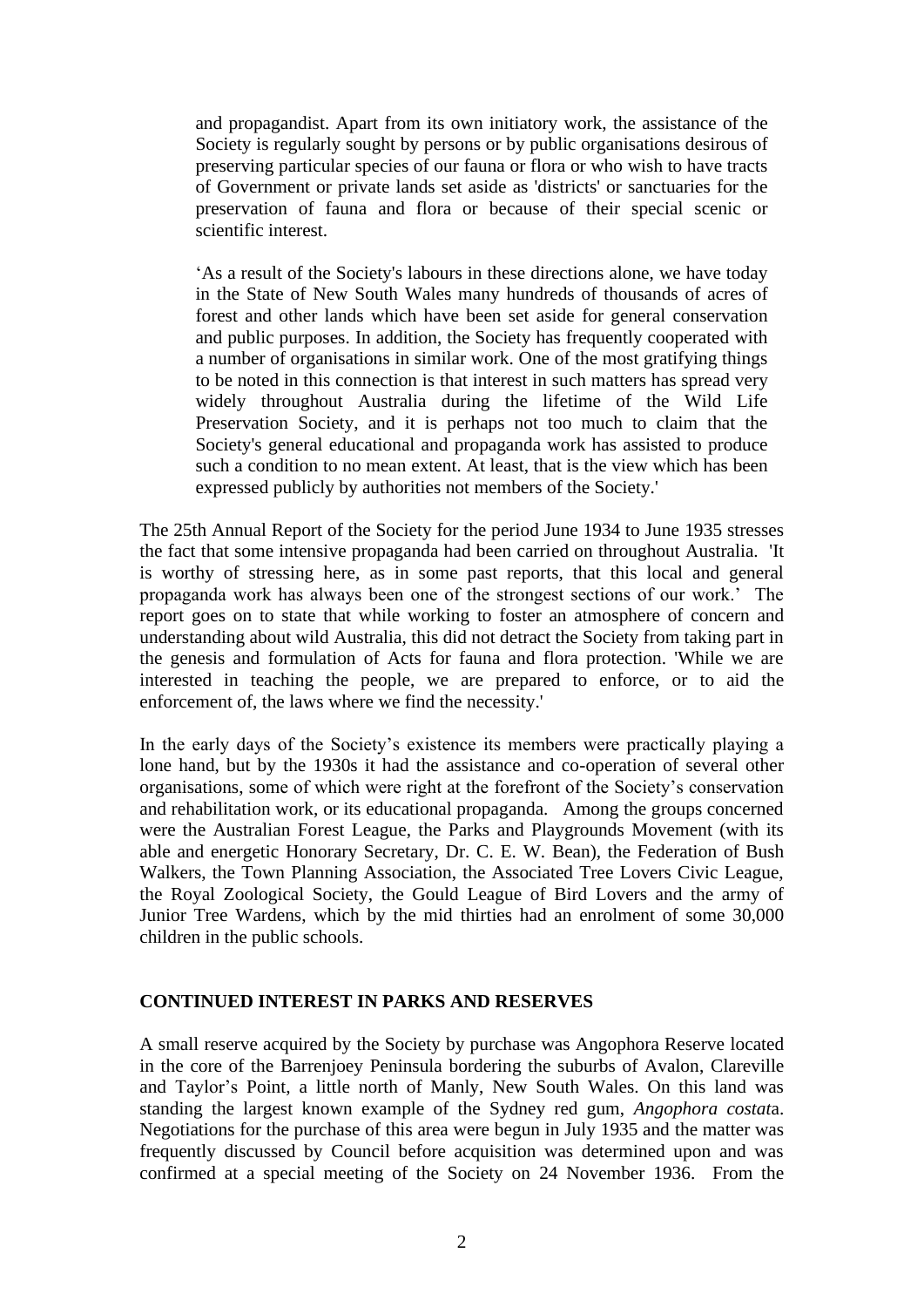and propagandist. Apart from its own initiatory work, the assistance of the Society is regularly sought by persons or by public organisations desirous of preserving particular species of our fauna or flora or who wish to have tracts of Government or private lands set aside as 'districts' or sanctuaries for the preservation of fauna and flora or because of their special scenic or scientific interest.

'As a result of the Society's labours in these directions alone, we have today in the State of New South Wales many hundreds of thousands of acres of forest and other lands which have been set aside for general conservation and public purposes. In addition, the Society has frequently cooperated with a number of organisations in similar work. One of the most gratifying things to be noted in this connection is that interest in such matters has spread very widely throughout Australia during the lifetime of the Wild Life Preservation Society, and it is perhaps not too much to claim that the Society's general educational and propaganda work has assisted to produce such a condition to no mean extent. At least, that is the view which has been expressed publicly by authorities not members of the Society.'

The 25th Annual Report of the Society for the period June 1934 to June 1935 stresses the fact that some intensive propaganda had been carried on throughout Australia. 'It is worthy of stressing here, as in some past reports, that this local and general propaganda work has always been one of the strongest sections of our work.' The report goes on to state that while working to foster an atmosphere of concern and understanding about wild Australia, this did not detract the Society from taking part in the genesis and formulation of Acts for fauna and flora protection. 'While we are interested in teaching the people, we are prepared to enforce, or to aid the enforcement of, the laws where we find the necessity.'

In the early days of the Society's existence its members were practically playing a lone hand, but by the 1930s it had the assistance and co-operation of several other organisations, some of which were right at the forefront of the Society's conservation and rehabilitation work, or its educational propaganda. Among the groups concerned were the Australian Forest League, the Parks and Playgrounds Movement (with its able and energetic Honorary Secretary, Dr. C. E. W. Bean), the Federation of Bush Walkers, the Town Planning Association, the Associated Tree Lovers Civic League, the Royal Zoological Society, the Gould League of Bird Lovers and the army of Junior Tree Wardens, which by the mid thirties had an enrolment of some 30,000 children in the public schools.

#### **CONTINUED INTEREST IN PARKS AND RESERVES**

A small reserve acquired by the Society by purchase was Angophora Reserve located in the core of the Barrenjoey Peninsula bordering the suburbs of Avalon, Clareville and Taylor's Point, a little north of Manly, New South Wales. On this land was standing the largest known example of the Sydney red gum, *Angophora costat*a. Negotiations for the purchase of this area were begun in July 1935 and the matter was frequently discussed by Council before acquisition was determined upon and was confirmed at a special meeting of the Society on 24 November 1936. From the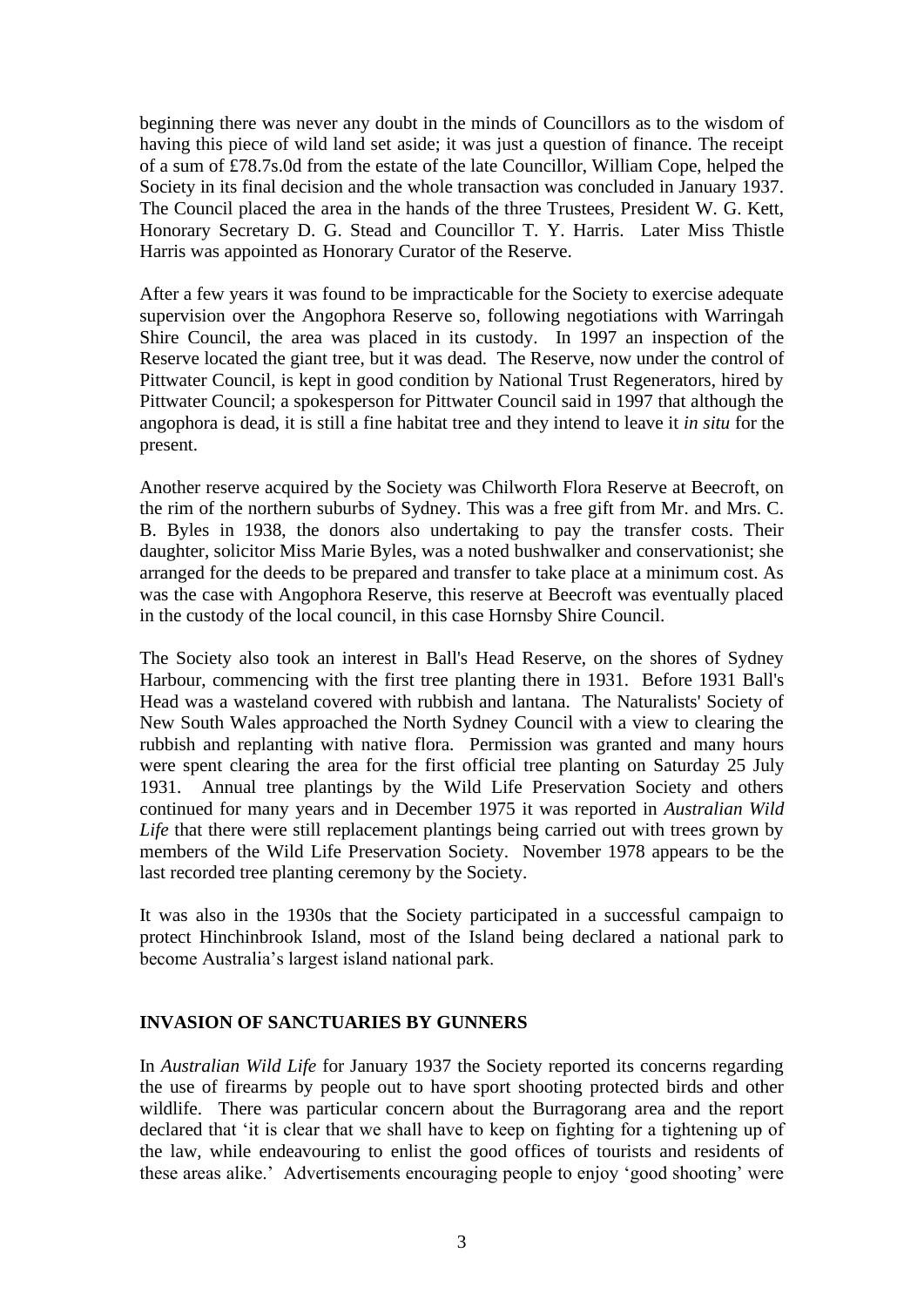beginning there was never any doubt in the minds of Councillors as to the wisdom of having this piece of wild land set aside; it was just a question of finance. The receipt of a sum of £78.7s.0d from the estate of the late Councillor, William Cope, helped the Society in its final decision and the whole transaction was concluded in January 1937. The Council placed the area in the hands of the three Trustees, President W. G. Kett, Honorary Secretary D. G. Stead and Councillor T. Y. Harris. Later Miss Thistle Harris was appointed as Honorary Curator of the Reserve.

After a few years it was found to be impracticable for the Society to exercise adequate supervision over the Angophora Reserve so, following negotiations with Warringah Shire Council, the area was placed in its custody. In 1997 an inspection of the Reserve located the giant tree, but it was dead. The Reserve, now under the control of Pittwater Council, is kept in good condition by National Trust Regenerators, hired by Pittwater Council; a spokesperson for Pittwater Council said in 1997 that although the angophora is dead, it is still a fine habitat tree and they intend to leave it *in situ* for the present.

Another reserve acquired by the Society was Chilworth Flora Reserve at Beecroft, on the rim of the northern suburbs of Sydney. This was a free gift from Mr. and Mrs. C. B. Byles in 1938, the donors also undertaking to pay the transfer costs. Their daughter, solicitor Miss Marie Byles, was a noted bushwalker and conservationist; she arranged for the deeds to be prepared and transfer to take place at a minimum cost. As was the case with Angophora Reserve, this reserve at Beecroft was eventually placed in the custody of the local council, in this case Hornsby Shire Council.

The Society also took an interest in Ball's Head Reserve, on the shores of Sydney Harbour, commencing with the first tree planting there in 1931. Before 1931 Ball's Head was a wasteland covered with rubbish and lantana. The Naturalists' Society of New South Wales approached the North Sydney Council with a view to clearing the rubbish and replanting with native flora. Permission was granted and many hours were spent clearing the area for the first official tree planting on Saturday 25 July 1931. Annual tree plantings by the Wild Life Preservation Society and others continued for many years and in December 1975 it was reported in *Australian Wild Life* that there were still replacement plantings being carried out with trees grown by members of the Wild Life Preservation Society. November 1978 appears to be the last recorded tree planting ceremony by the Society.

It was also in the 1930s that the Society participated in a successful campaign to protect Hinchinbrook Island, most of the Island being declared a national park to become Australia's largest island national park.

## **INVASION OF SANCTUARIES BY GUNNERS**

In *Australian Wild Life* for January 1937 the Society reported its concerns regarding the use of firearms by people out to have sport shooting protected birds and other wildlife. There was particular concern about the Burragorang area and the report declared that 'it is clear that we shall have to keep on fighting for a tightening up of the law, while endeavouring to enlist the good offices of tourists and residents of these areas alike.' Advertisements encouraging people to enjoy 'good shooting' were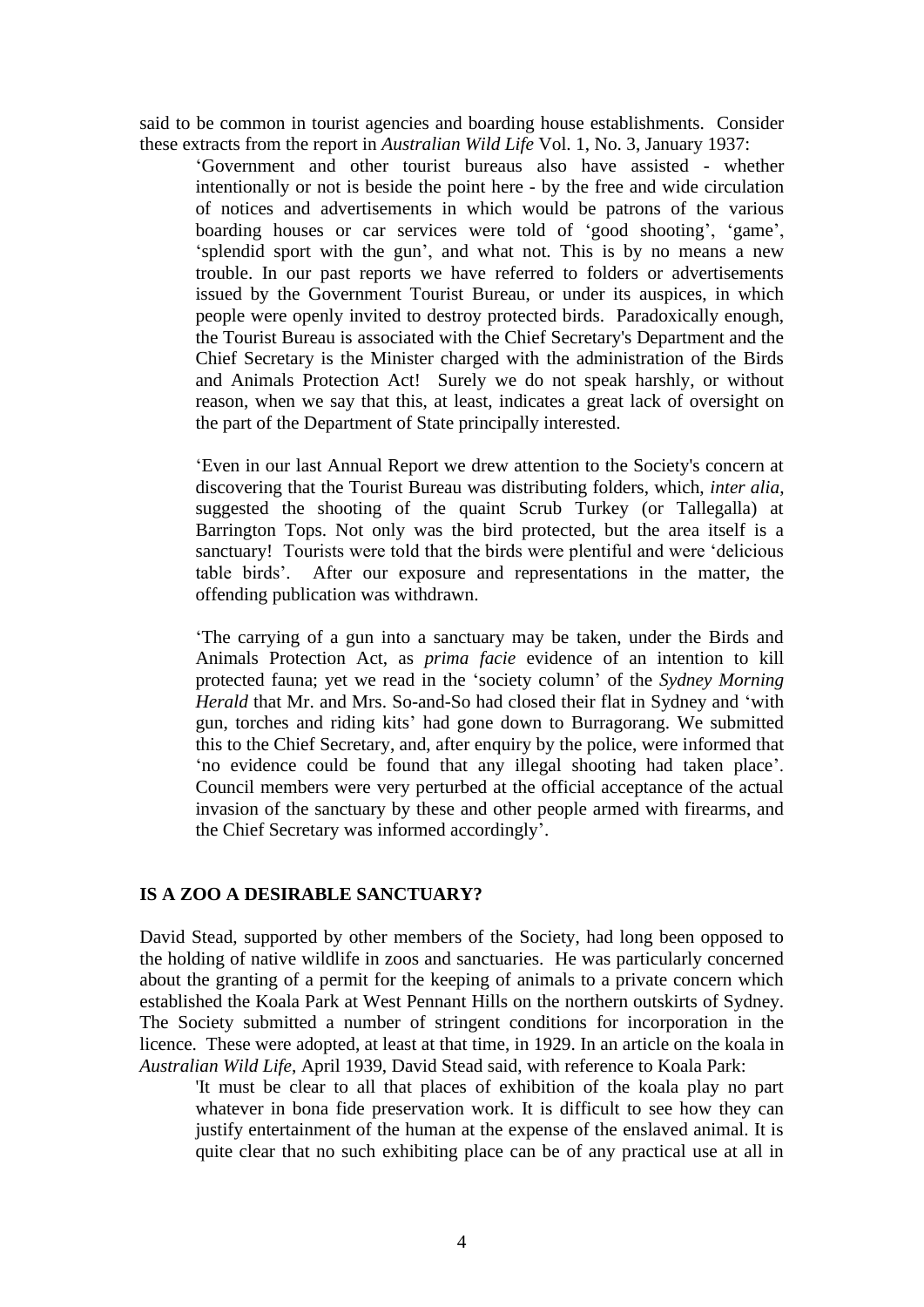said to be common in tourist agencies and boarding house establishments. Consider these extracts from the report in *Australian Wild Life* Vol. 1, No. 3, January 1937:

'Government and other tourist bureaus also have assisted - whether intentionally or not is beside the point here - by the free and wide circulation of notices and advertisements in which would be patrons of the various boarding houses or car services were told of 'good shooting', 'game', 'splendid sport with the gun', and what not. This is by no means a new trouble. In our past reports we have referred to folders or advertisements issued by the Government Tourist Bureau, or under its auspices, in which people were openly invited to destroy protected birds. Paradoxically enough, the Tourist Bureau is associated with the Chief Secretary's Department and the Chief Secretary is the Minister charged with the administration of the Birds and Animals Protection Act! Surely we do not speak harshly, or without reason, when we say that this, at least, indicates a great lack of oversight on the part of the Department of State principally interested.

'Even in our last Annual Report we drew attention to the Society's concern at discovering that the Tourist Bureau was distributing folders, which, *inter alia*, suggested the shooting of the quaint Scrub Turkey (or Tallegalla) at Barrington Tops. Not only was the bird protected, but the area itself is a sanctuary! Tourists were told that the birds were plentiful and were 'delicious table birds'. After our exposure and representations in the matter, the offending publication was withdrawn.

'The carrying of a gun into a sanctuary may be taken, under the Birds and Animals Protection Act, as *prima facie* evidence of an intention to kill protected fauna; yet we read in the 'society column' of the *Sydney Morning Herald* that Mr. and Mrs. So-and-So had closed their flat in Sydney and 'with gun, torches and riding kits' had gone down to Burragorang. We submitted this to the Chief Secretary, and, after enquiry by the police, were informed that 'no evidence could be found that any illegal shooting had taken place'. Council members were very perturbed at the official acceptance of the actual invasion of the sanctuary by these and other people armed with firearms, and the Chief Secretary was informed accordingly'.

#### **IS A ZOO A DESIRABLE SANCTUARY?**

David Stead, supported by other members of the Society, had long been opposed to the holding of native wildlife in zoos and sanctuaries. He was particularly concerned about the granting of a permit for the keeping of animals to a private concern which established the Koala Park at West Pennant Hills on the northern outskirts of Sydney. The Society submitted a number of stringent conditions for incorporation in the licence. These were adopted, at least at that time, in 1929. In an article on the koala in *Australian Wild Life*, April 1939, David Stead said, with reference to Koala Park:

'It must be clear to all that places of exhibition of the koala play no part whatever in bona fide preservation work. It is difficult to see how they can justify entertainment of the human at the expense of the enslaved animal. It is quite clear that no such exhibiting place can be of any practical use at all in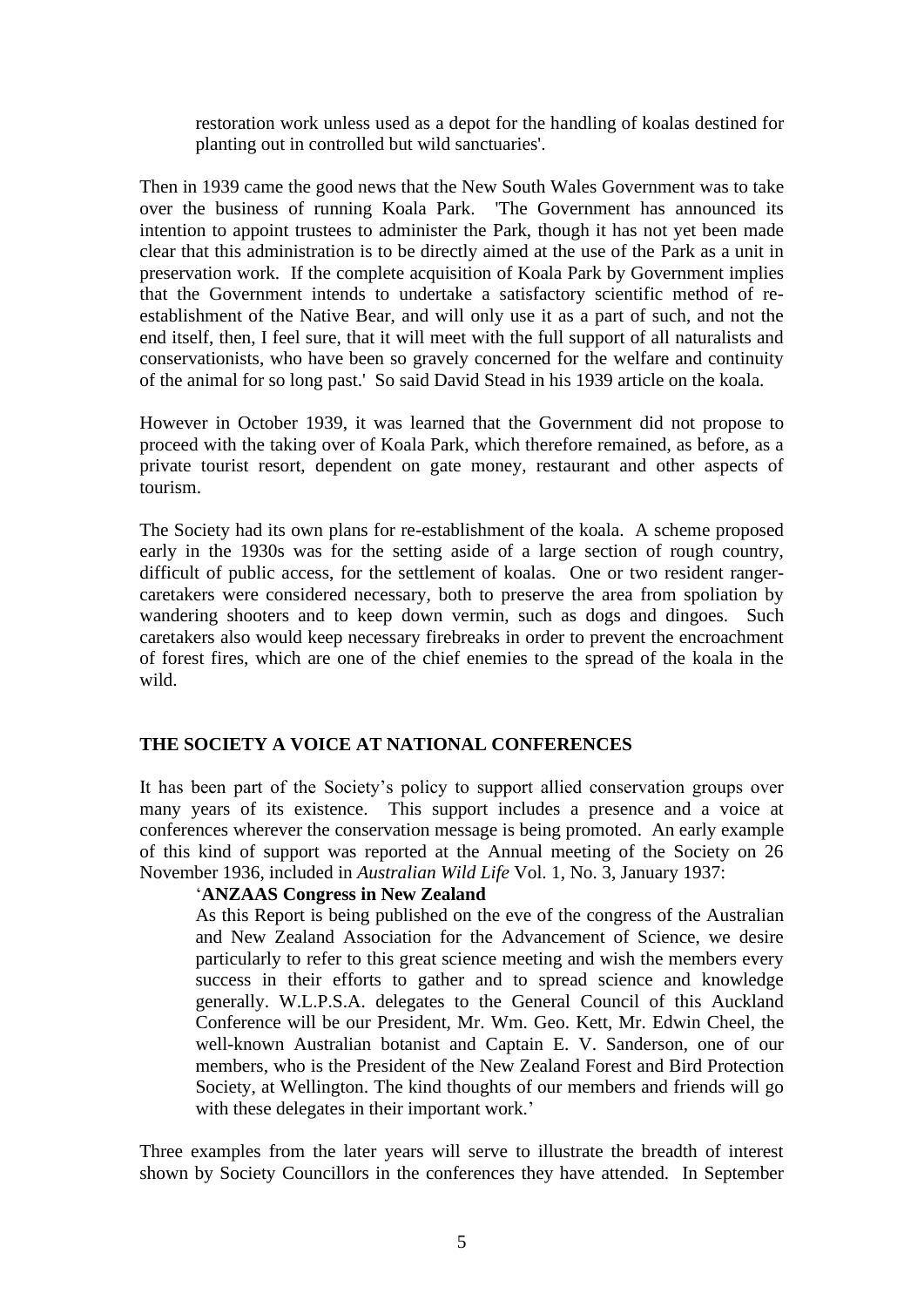restoration work unless used as a depot for the handling of koalas destined for planting out in controlled but wild sanctuaries'.

Then in 1939 came the good news that the New South Wales Government was to take over the business of running Koala Park. 'The Government has announced its intention to appoint trustees to administer the Park, though it has not yet been made clear that this administration is to be directly aimed at the use of the Park as a unit in preservation work. If the complete acquisition of Koala Park by Government implies that the Government intends to undertake a satisfactory scientific method of reestablishment of the Native Bear, and will only use it as a part of such, and not the end itself, then, I feel sure, that it will meet with the full support of all naturalists and conservationists, who have been so gravely concerned for the welfare and continuity of the animal for so long past.' So said David Stead in his 1939 article on the koala.

However in October 1939, it was learned that the Government did not propose to proceed with the taking over of Koala Park, which therefore remained, as before, as a private tourist resort, dependent on gate money, restaurant and other aspects of tourism.

The Society had its own plans for re-establishment of the koala. A scheme proposed early in the 1930s was for the setting aside of a large section of rough country, difficult of public access, for the settlement of koalas. One or two resident rangercaretakers were considered necessary, both to preserve the area from spoliation by wandering shooters and to keep down vermin, such as dogs and dingoes. Such caretakers also would keep necessary firebreaks in order to prevent the encroachment of forest fires, which are one of the chief enemies to the spread of the koala in the wild.

#### **THE SOCIETY A VOICE AT NATIONAL CONFERENCES**

It has been part of the Society's policy to support allied conservation groups over many years of its existence. This support includes a presence and a voice at conferences wherever the conservation message is being promoted. An early example of this kind of support was reported at the Annual meeting of the Society on 26 November 1936, included in *Australian Wild Life* Vol. 1, No. 3, January 1937:

### '**ANZAAS Congress in New Zealand**

As this Report is being published on the eve of the congress of the Australian and New Zealand Association for the Advancement of Science, we desire particularly to refer to this great science meeting and wish the members every success in their efforts to gather and to spread science and knowledge generally. W.L.P.S.A. delegates to the General Council of this Auckland Conference will be our President, Mr. Wm. Geo. Kett, Mr. Edwin Cheel, the well-known Australian botanist and Captain E. V. Sanderson, one of our members, who is the President of the New Zealand Forest and Bird Protection Society, at Wellington. The kind thoughts of our members and friends will go with these delegates in their important work.'

Three examples from the later years will serve to illustrate the breadth of interest shown by Society Councillors in the conferences they have attended. In September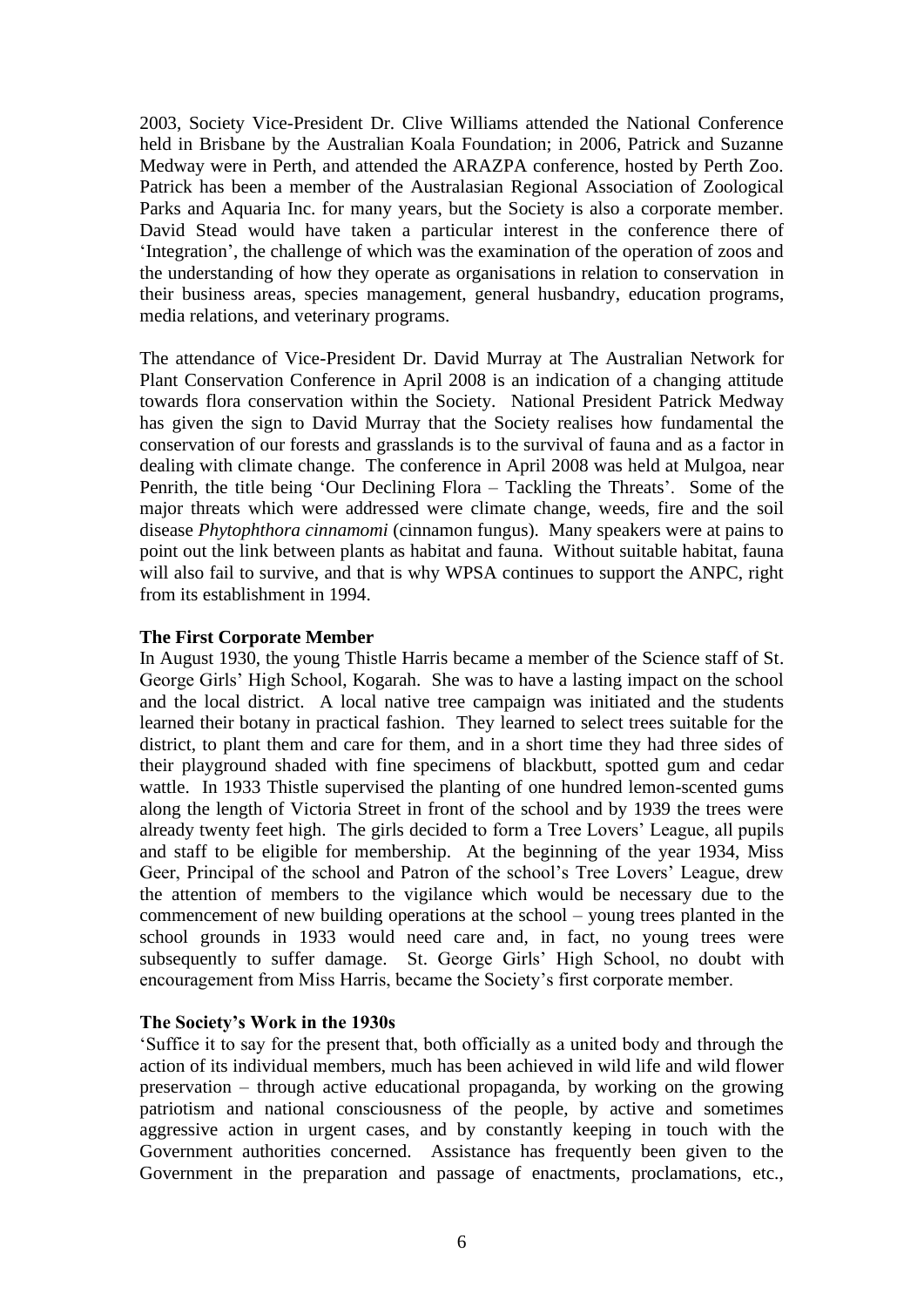2003, Society Vice-President Dr. Clive Williams attended the National Conference held in Brisbane by the Australian Koala Foundation; in 2006, Patrick and Suzanne Medway were in Perth, and attended the ARAZPA conference, hosted by Perth Zoo. Patrick has been a member of the Australasian Regional Association of Zoological Parks and Aquaria Inc. for many years, but the Society is also a corporate member. David Stead would have taken a particular interest in the conference there of 'Integration', the challenge of which was the examination of the operation of zoos and the understanding of how they operate as organisations in relation to conservation in their business areas, species management, general husbandry, education programs, media relations, and veterinary programs.

The attendance of Vice-President Dr. David Murray at The Australian Network for Plant Conservation Conference in April 2008 is an indication of a changing attitude towards flora conservation within the Society. National President Patrick Medway has given the sign to David Murray that the Society realises how fundamental the conservation of our forests and grasslands is to the survival of fauna and as a factor in dealing with climate change. The conference in April 2008 was held at Mulgoa, near Penrith, the title being 'Our Declining Flora – Tackling the Threats'. Some of the major threats which were addressed were climate change, weeds, fire and the soil disease *Phytophthora cinnamomi* (cinnamon fungus). Many speakers were at pains to point out the link between plants as habitat and fauna. Without suitable habitat, fauna will also fail to survive, and that is why WPSA continues to support the ANPC, right from its establishment in 1994.

#### **The First Corporate Member**

In August 1930, the young Thistle Harris became a member of the Science staff of St. George Girls' High School, Kogarah. She was to have a lasting impact on the school and the local district. A local native tree campaign was initiated and the students learned their botany in practical fashion. They learned to select trees suitable for the district, to plant them and care for them, and in a short time they had three sides of their playground shaded with fine specimens of blackbutt, spotted gum and cedar wattle. In 1933 Thistle supervised the planting of one hundred lemon-scented gums along the length of Victoria Street in front of the school and by 1939 the trees were already twenty feet high. The girls decided to form a Tree Lovers' League, all pupils and staff to be eligible for membership. At the beginning of the year 1934, Miss Geer, Principal of the school and Patron of the school's Tree Lovers' League, drew the attention of members to the vigilance which would be necessary due to the commencement of new building operations at the school – young trees planted in the school grounds in 1933 would need care and, in fact, no young trees were subsequently to suffer damage. St. George Girls' High School, no doubt with encouragement from Miss Harris, became the Society's first corporate member.

#### **The Society's Work in the 1930s**

'Suffice it to say for the present that, both officially as a united body and through the action of its individual members, much has been achieved in wild life and wild flower preservation – through active educational propaganda, by working on the growing patriotism and national consciousness of the people, by active and sometimes aggressive action in urgent cases, and by constantly keeping in touch with the Government authorities concerned. Assistance has frequently been given to the Government in the preparation and passage of enactments, proclamations, etc.,